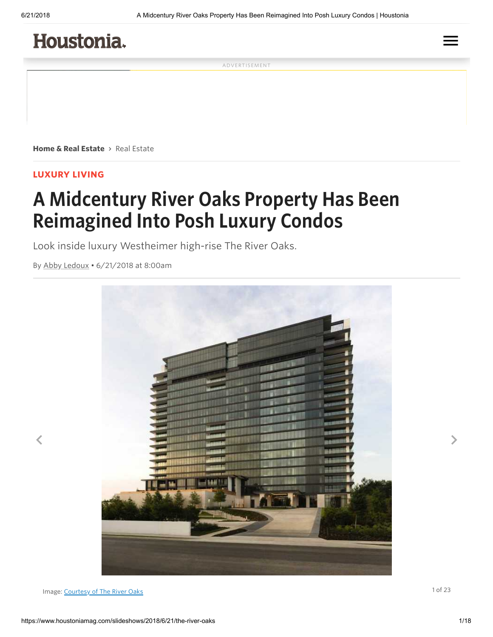## Houstonia.

ADVERTISEMENT

Home & Real [Estate](https://www.houstoniamag.com/home-and-real-estate) > [Real](https://www.houstoniamag.com/home-and-real-estate/real-estate) Estate

#### LUXURY LIVING

# A Midcentury River Oaks Property Has Been Reimagined Into Posh Luxury Condos

Look inside luxury Westheimer high-rise The River Oaks.

By [Abby](https://www.houstoniamag.com/producers/abby-ledoux) Ledoux • 6/21/2018 at 8:00am



Image: Courtesy of The [Rive](https://www.houstoniamag.com/producers/courtesy-of-the-river-oaks)r Oaks and the River Oaks and the River of the River of the River Oaks and the River Oaks and the River of the River of the River of the River of the River of the River of the River of the River

 $\equiv$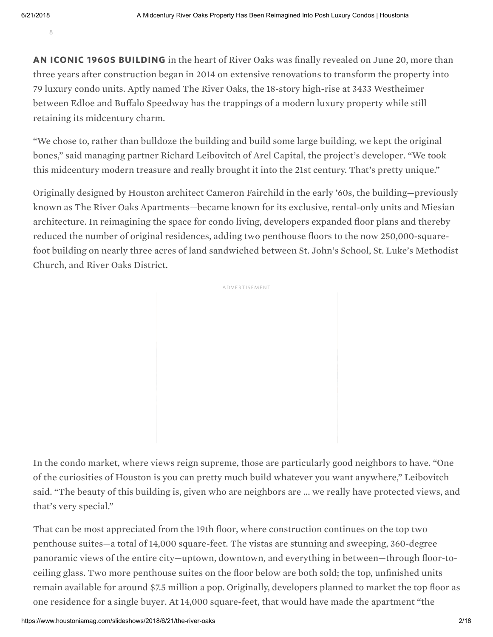8

AN ICONIC 1960S BUILDING in the heart of River Oaks was finally revealed on June 20, more than three years after construction began in 2014 on extensive renovations to transform the property into 79 luxury condo units. Aptly named The River Oaks, the 18-story high-rise at 3433 Westheimer between Edloe and Buffalo Speedway has the trappings of a modern luxury property while still retaining its midcentury charm.

"We chose to, rather than bulldoze the building and build some large building, we kept the original bones," said managing partner Richard Leibovitch of Arel Capital, the project's developer. "We took this midcentury modern treasure and really brought it into the 21st century. That's pretty unique."

Originally designed by Houston architect Cameron Fairchild in the early '60s, the building—previously known as The River Oaks Apartments—became known for its exclusive, rental-only units and Miesian architecture. In reimagining the space for condo living, developers expanded floor plans and thereby reduced the number of original residences, adding two penthouse floors to the now 250,000-squarefoot building on nearly three acres of land sandwiched between St. John's School, St. Luke's Methodist Church, and River Oaks District.



In the condo market, where views reign supreme, those are particularly good neighbors to have. "One of the curiosities of Houston is you can pretty much build whatever you want anywhere," Leibovitch said. "The beauty of this building is, given who are neighbors are ... we really have protected views, and that's very special."

That can be most appreciated from the 19th floor, where construction continues on the top two penthouse suites—a total of 14,000 square-feet. The vistas are stunning and sweeping, 360-degree panoramic views of the entire city—uptown, downtown, and everything in between—through floor-toceiling glass. Two more penthouse suites on the floor below are both sold; the top, unfinished units remain available for around \$7.5 million a pop. Originally, developers planned to market the top floor as one residence for a single buyer. At 14,000 square-feet, that would have made the apartment "the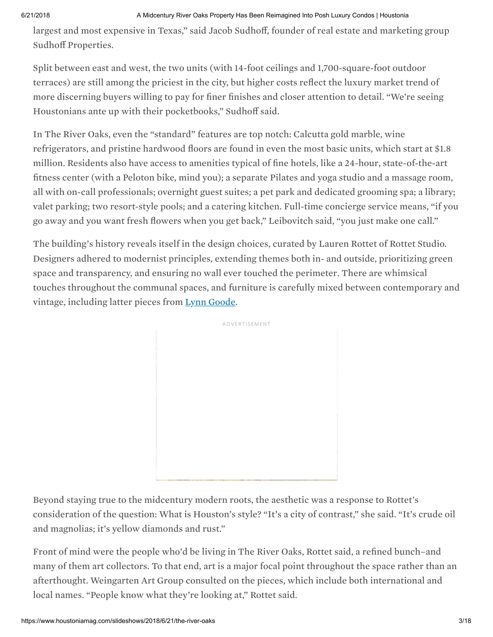largest and most expensive in Texas," said Jacob Sudhoff, founder of real estate and marketing group Sudhoff Properties.

Split between east and west, the two units (with 14-foot ceilings and 1,700-square-foot outdoor terraces) are still among the priciest in the city, but higher costs reflect the luxury market trend of more discerning buyers willing to pay for finer finishes and closer attention to detail. "We're seeing Houstonians ante up with their pocketbooks," Sudhoff said.

In The River Oaks, even the "standard" features are top notch: Calcutta gold marble, wine refrigerators, and pristine hardwood floors are found in even the most basic units, which start at \$1.8 million. Residents also have access to amenities typical of fine hotels, like a 24-hour, state-of-the-art fitness center (with a Peloton bike, mind you); a separate Pilates and yoga studio and a massage room, all with on-call professionals; overnight guest suites; a pet park and dedicated grooming spa; a library; valet parking; two resort-style pools; and a catering kitchen. Full-time concierge service means, "if you go away and you want fresh flowers when you get back," Leibovitch said, "you just make one call."

The building's history reveals itself in the design choices, curated by Lauren Rottet of Rottet Studio. Designers adhered to modernist principles, extending themes both in- and outside, prioritizing green space and transparency, and ensuring no wall ever touched the perimeter. There are whimsical touches throughout the communal spaces, and furniture is carefully mixed between contemporary and vintage, including latter pieces from [Lynn](https://www.houstoniamag.com/stores/lynn-goode-vintage) Goode.



Beyond staying true to the midcentury modern roots, the aesthetic was a response to Rottet's consideration of the question: What is Houston's style? "It's a city of contrast," she said. "It's crude oil and magnolias; it's yellow diamonds and rust."

Front of mind were the people who'd be living in The River Oaks, Rottet said, a refined bunch–and many of them art collectors. To that end, art is a major focal point throughout the space rather than an afterthought. Weingarten Art Group consulted on the pieces, which include both international and local names. "People know what they're looking at," Rottet said.